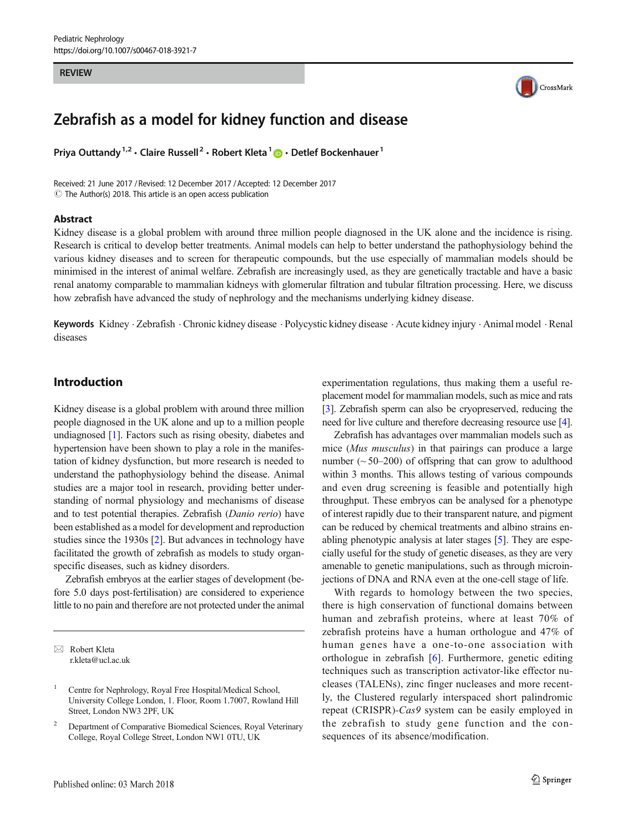#### **REVIEW**



# Zebrafish as a model for kidney function and disease

Priya Outtandy<sup>1,2</sup> · Claire Russell<sup>2</sup> · Robert Kleta<sup>1</sup>  $\bullet$  · Detlef Bockenhauer<sup>1</sup>

Received: 21 June 2017 / Revised: 12 December 2017 /Accepted: 12 December 2017  $\odot$  The Author(s) 2018. This article is an open access publication

#### Abstract

Kidney disease is a global problem with around three million people diagnosed in the UK alone and the incidence is rising. Research is critical to develop better treatments. Animal models can help to better understand the pathophysiology behind the various kidney diseases and to screen for therapeutic compounds, but the use especially of mammalian models should be minimised in the interest of animal welfare. Zebrafish are increasingly used, as they are genetically tractable and have a basic renal anatomy comparable to mammalian kidneys with glomerular filtration and tubular filtration processing. Here, we discuss how zebrafish have advanced the study of nephrology and the mechanisms underlying kidney disease.

Keywords Kidney . Zebrafish . Chronic kidney disease . Polycystic kidney disease . Acute kidney injury . Animal model . Renal diseases

## Introduction

Kidney disease is a global problem with around three million people diagnosed in the UK alone and up to a million people undiagnosed [\[1](#page-8-0)]. Factors such as rising obesity, diabetes and hypertension have been shown to play a role in the manifestation of kidney dysfunction, but more research is needed to understand the pathophysiology behind the disease. Animal studies are a major tool in research, providing better understanding of normal physiology and mechanisms of disease and to test potential therapies. Zebrafish (Danio rerio) have been established as a model for development and reproduction studies since the 1930s [[2](#page-8-0)]. But advances in technology have facilitated the growth of zebrafish as models to study organspecific diseases, such as kidney disorders.

Zebrafish embryos at the earlier stages of development (before 5.0 days post-fertilisation) are considered to experience little to no pain and therefore are not protected under the animal

 $\boxtimes$  Robert Kleta [r.kleta@ucl.ac.uk](mailto:r.kleta@ucl.ac.uk) experimentation regulations, thus making them a useful replacement model for mammalian models, such as mice and rats [\[3\]](#page-8-0). Zebrafish sperm can also be cryopreserved, reducing the need for live culture and therefore decreasing resource use [\[4\]](#page-8-0).

Zebrafish has advantages over mammalian models such as mice (Mus musculus) in that pairings can produce a large number  $(\sim 50-200)$  of offspring that can grow to adulthood within 3 months. This allows testing of various compounds and even drug screening is feasible and potentially high throughput. These embryos can be analysed for a phenotype of interest rapidly due to their transparent nature, and pigment can be reduced by chemical treatments and albino strains enabling phenotypic analysis at later stages [[5\]](#page-8-0). They are especially useful for the study of genetic diseases, as they are very amenable to genetic manipulations, such as through microinjections of DNA and RNA even at the one-cell stage of life.

With regards to homology between the two species, there is high conservation of functional domains between human and zebrafish proteins, where at least 70% of zebrafish proteins have a human orthologue and 47% of human genes have a one-to-one association with orthologue in zebrafish [[6\]](#page-8-0). Furthermore, genetic editing techniques such as transcription activator-like effector nucleases (TALENs), zinc finger nucleases and more recently, the Clustered regularly interspaced short palindromic repeat (CRISPR)-Cas9 system can be easily employed in the zebrafish to study gene function and the consequences of its absence/modification.

Centre for Nephrology, Royal Free Hospital/Medical School, University College London, 1. Floor, Room 1.7007, Rowland Hill Street, London NW3 2PF, UK

<sup>2</sup> Department of Comparative Biomedical Sciences, Royal Veterinary College, Royal College Street, London NW1 0TU, UK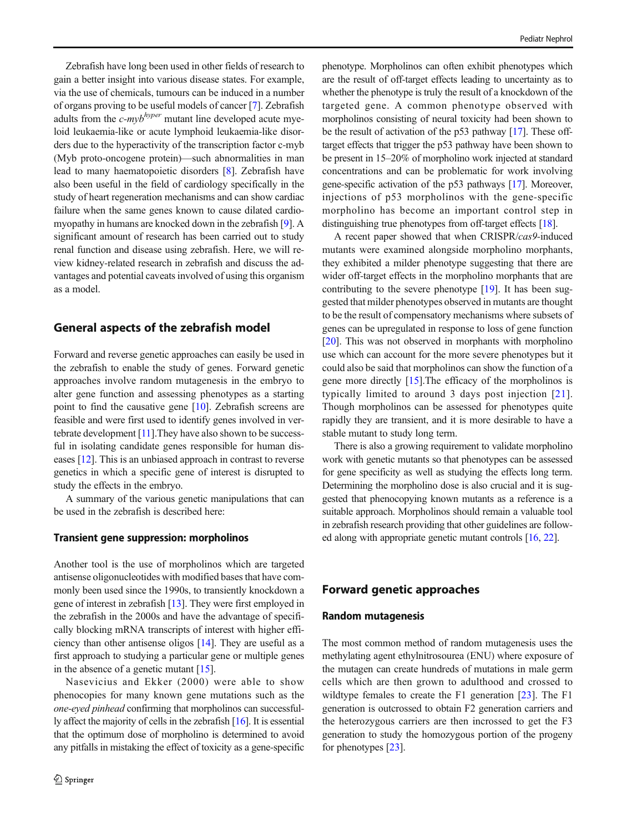Zebrafish have long been used in other fields of research to gain a better insight into various disease states. For example, via the use of chemicals, tumours can be induced in a number of organs proving to be useful models of cancer [[7](#page-8-0)]. Zebrafish adults from the  $c$ -my $b^{hyper}$  mutant line developed acute myeloid leukaemia-like or acute lymphoid leukaemia-like disorders due to the hyperactivity of the transcription factor c-myb (Myb proto-oncogene protein)—such abnormalities in man lead to many haematopoietic disorders [[8\]](#page-8-0). Zebrafish have also been useful in the field of cardiology specifically in the study of heart regeneration mechanisms and can show cardiac failure when the same genes known to cause dilated cardiomyopathy in humans are knocked down in the zebrafish [[9](#page-8-0)]. A significant amount of research has been carried out to study renal function and disease using zebrafish. Here, we will review kidney-related research in zebrafish and discuss the advantages and potential caveats involved of using this organism as a model.

## General aspects of the zebrafish model

Forward and reverse genetic approaches can easily be used in the zebrafish to enable the study of genes. Forward genetic approaches involve random mutagenesis in the embryo to alter gene function and assessing phenotypes as a starting point to find the causative gene [\[10](#page-8-0)]. Zebrafish screens are feasible and were first used to identify genes involved in vertebrate development [\[11\]](#page-8-0).They have also shown to be successful in isolating candidate genes responsible for human diseases [[12\]](#page-8-0). This is an unbiased approach in contrast to reverse genetics in which a specific gene of interest is disrupted to study the effects in the embryo.

A summary of the various genetic manipulations that can be used in the zebrafish is described here:

#### Transient gene suppression: morpholinos

Another tool is the use of morpholinos which are targeted antisense oligonucleotides with modified bases that have commonly been used since the 1990s, to transiently knockdown a gene of interest in zebrafish [[13](#page-8-0)]. They were first employed in the zebrafish in the 2000s and have the advantage of specifically blocking mRNA transcripts of interest with higher efficiency than other antisense oligos [\[14](#page-8-0)]. They are useful as a first approach to studying a particular gene or multiple genes in the absence of a genetic mutant [[15\]](#page-8-0).

Nasevicius and Ekker (2000) were able to show phenocopies for many known gene mutations such as the one-eyed pinhead confirming that morpholinos can successfully affect the majority of cells in the zebrafish [\[16](#page-8-0)]. It is essential that the optimum dose of morpholino is determined to avoid any pitfalls in mistaking the effect of toxicity as a gene-specific phenotype. Morpholinos can often exhibit phenotypes which are the result of off-target effects leading to uncertainty as to whether the phenotype is truly the result of a knockdown of the targeted gene. A common phenotype observed with morpholinos consisting of neural toxicity had been shown to be the result of activation of the p53 pathway [\[17\]](#page-9-0). These offtarget effects that trigger the p53 pathway have been shown to be present in 15–20% of morpholino work injected at standard concentrations and can be problematic for work involving gene-specific activation of the p53 pathways [\[17\]](#page-9-0). Moreover, injections of p53 morpholinos with the gene-specific morpholino has become an important control step in distinguishing true phenotypes from off-target effects [\[18\]](#page-9-0).

A recent paper showed that when CRISPR/cas9-induced mutants were examined alongside morpholino morphants, they exhibited a milder phenotype suggesting that there are wider off-target effects in the morpholino morphants that are contributing to the severe phenotype [\[19\]](#page-9-0). It has been suggested that milder phenotypes observed in mutants are thought to be the result of compensatory mechanisms where subsets of genes can be upregulated in response to loss of gene function [\[20](#page-9-0)]. This was not observed in morphants with morpholino use which can account for the more severe phenotypes but it could also be said that morpholinos can show the function of a gene more directly [\[15](#page-8-0)].The efficacy of the morpholinos is typically limited to around 3 days post injection [[21](#page-9-0)]. Though morpholinos can be assessed for phenotypes quite rapidly they are transient, and it is more desirable to have a stable mutant to study long term.

There is also a growing requirement to validate morpholino work with genetic mutants so that phenotypes can be assessed for gene specificity as well as studying the effects long term. Determining the morpholino dose is also crucial and it is suggested that phenocopying known mutants as a reference is a suitable approach. Morpholinos should remain a valuable tool in zebrafish research providing that other guidelines are followed along with appropriate genetic mutant controls [\[16,](#page-8-0) [22](#page-9-0)].

## Forward genetic approaches

#### Random mutagenesis

The most common method of random mutagenesis uses the methylating agent ethylnitrosourea (ENU) where exposure of the mutagen can create hundreds of mutations in male germ cells which are then grown to adulthood and crossed to wildtype females to create the F1 generation [\[23](#page-9-0)]. The F1 generation is outcrossed to obtain F2 generation carriers and the heterozygous carriers are then incrossed to get the F3 generation to study the homozygous portion of the progeny for phenotypes [\[23\]](#page-9-0).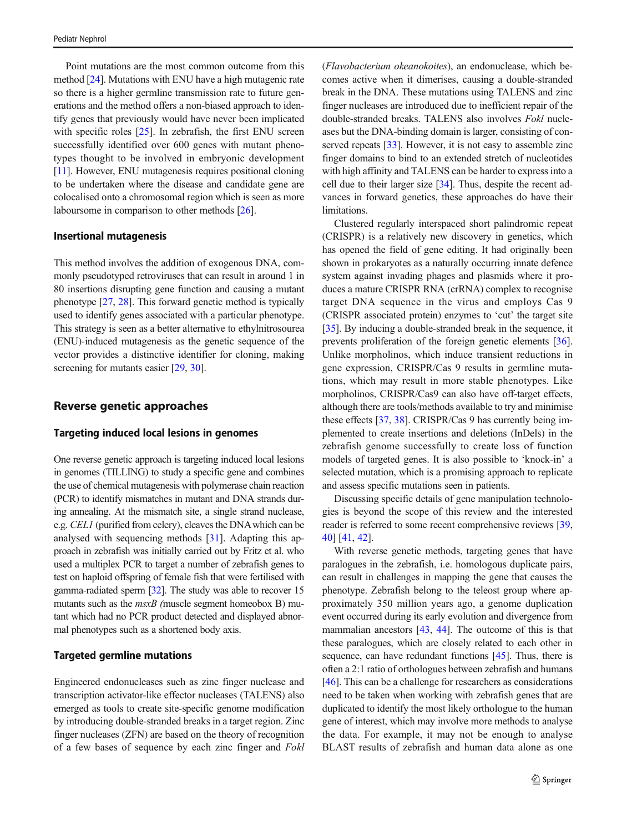Point mutations are the most common outcome from this method [\[24](#page-9-0)]. Mutations with ENU have a high mutagenic rate so there is a higher germline transmission rate to future generations and the method offers a non-biased approach to identify genes that previously would have never been implicated with specific roles [\[25\]](#page-9-0). In zebrafish, the first ENU screen successfully identified over 600 genes with mutant phenotypes thought to be involved in embryonic development [\[11\]](#page-8-0). However, ENU mutagenesis requires positional cloning to be undertaken where the disease and candidate gene are colocalised onto a chromosomal region which is seen as more laboursome in comparison to other methods [\[26](#page-9-0)].

#### Insertional mutagenesis

This method involves the addition of exogenous DNA, commonly pseudotyped retroviruses that can result in around 1 in 80 insertions disrupting gene function and causing a mutant phenotype [\[27](#page-9-0), [28](#page-9-0)]. This forward genetic method is typically used to identify genes associated with a particular phenotype. This strategy is seen as a better alternative to ethylnitrosourea (ENU)-induced mutagenesis as the genetic sequence of the vector provides a distinctive identifier for cloning, making screening for mutants easier [[29,](#page-9-0) [30\]](#page-9-0).

#### Reverse genetic approaches

#### Targeting induced local lesions in genomes

One reverse genetic approach is targeting induced local lesions in genomes (TILLING) to study a specific gene and combines the use of chemical mutagenesis with polymerase chain reaction (PCR) to identify mismatches in mutant and DNA strands during annealing. At the mismatch site, a single strand nuclease, e.g. CEL1 (purified from celery), cleaves the DNAwhich can be analysed with sequencing methods [[31\]](#page-9-0). Adapting this approach in zebrafish was initially carried out by Fritz et al. who used a multiplex PCR to target a number of zebrafish genes to test on haploid offspring of female fish that were fertilised with gamma-radiated sperm [[32](#page-9-0)]. The study was able to recover 15 mutants such as the  $msxB$  (muscle segment homeobox B) mutant which had no PCR product detected and displayed abnormal phenotypes such as a shortened body axis.

#### Targeted germline mutations

Engineered endonucleases such as zinc finger nuclease and transcription activator-like effector nucleases (TALENS) also emerged as tools to create site-specific genome modification by introducing double-stranded breaks in a target region. Zinc finger nucleases (ZFN) are based on the theory of recognition of a few bases of sequence by each zinc finger and Fokl (Flavobacterium okeanokoites), an endonuclease, which becomes active when it dimerises, causing a double-stranded break in the DNA. These mutations using TALENS and zinc finger nucleases are introduced due to inefficient repair of the double-stranded breaks. TALENS also involves Fokl nucleases but the DNA-binding domain is larger, consisting of con-served repeats [[33](#page-9-0)]. However, it is not easy to assemble zinc finger domains to bind to an extended stretch of nucleotides with high affinity and TALENS can be harder to express into a cell due to their larger size [\[34\]](#page-9-0). Thus, despite the recent advances in forward genetics, these approaches do have their limitations.

Clustered regularly interspaced short palindromic repeat (CRISPR) is a relatively new discovery in genetics, which has opened the field of gene editing. It had originally been shown in prokaryotes as a naturally occurring innate defence system against invading phages and plasmids where it produces a mature CRISPR RNA (crRNA) complex to recognise target DNA sequence in the virus and employs Cas 9 (CRISPR associated protein) enzymes to 'cut' the target site [\[35](#page-9-0)]. By inducing a double-stranded break in the sequence, it prevents proliferation of the foreign genetic elements [[36\]](#page-9-0). Unlike morpholinos, which induce transient reductions in gene expression, CRISPR/Cas 9 results in germline mutations, which may result in more stable phenotypes. Like morpholinos, CRISPR/Cas9 can also have off-target effects, although there are tools/methods available to try and minimise these effects [[37,](#page-9-0) [38](#page-9-0)]. CRISPR/Cas 9 has currently being implemented to create insertions and deletions (InDels) in the zebrafish genome successfully to create loss of function models of targeted genes. It is also possible to 'knock-in' a selected mutation, which is a promising approach to replicate and assess specific mutations seen in patients.

Discussing specific details of gene manipulation technologies is beyond the scope of this review and the interested reader is referred to some recent comprehensive reviews [\[39,](#page-9-0) [40\]](#page-9-0) [[41,](#page-9-0) [42\]](#page-9-0).

With reverse genetic methods, targeting genes that have paralogues in the zebrafish, i.e. homologous duplicate pairs, can result in challenges in mapping the gene that causes the phenotype. Zebrafish belong to the teleost group where approximately 350 million years ago, a genome duplication event occurred during its early evolution and divergence from mammalian ancestors [[43,](#page-9-0) [44\]](#page-9-0). The outcome of this is that these paralogues, which are closely related to each other in sequence, can have redundant functions [\[45\]](#page-9-0). Thus, there is often a 2:1 ratio of orthologues between zebrafish and humans [\[46](#page-9-0)]. This can be a challenge for researchers as considerations need to be taken when working with zebrafish genes that are duplicated to identify the most likely orthologue to the human gene of interest, which may involve more methods to analyse the data. For example, it may not be enough to analyse BLAST results of zebrafish and human data alone as one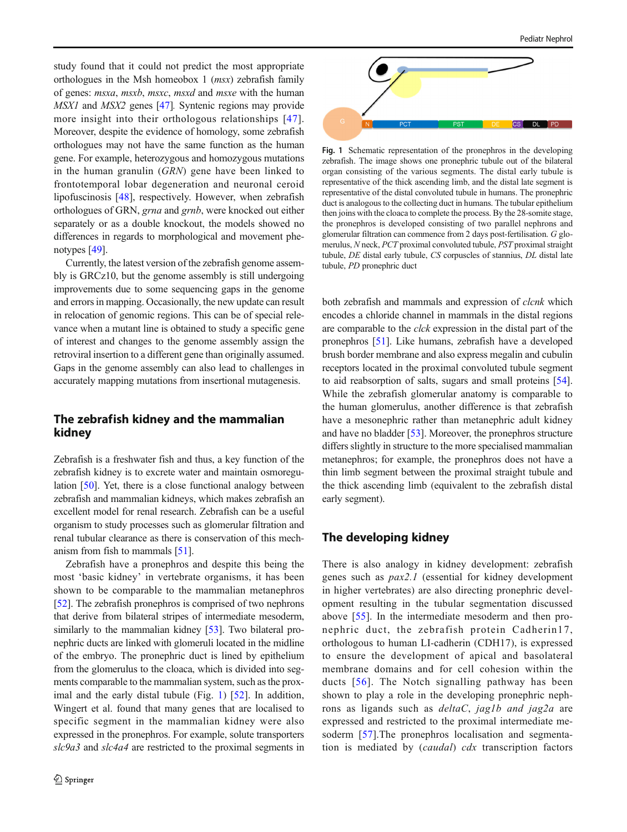study found that it could not predict the most appropriate orthologues in the Msh homeobox 1 (msx) zebrafish family of genes: msxa, msxb, msxc, msxd and msxe with the human MSX1 and MSX2 genes [[47](#page-9-0)]. Syntenic regions may provide more insight into their orthologous relationships [\[47](#page-9-0)]. Moreover, despite the evidence of homology, some zebrafish orthologues may not have the same function as the human gene. For example, heterozygous and homozygous mutations in the human granulin (GRN) gene have been linked to frontotemporal lobar degeneration and neuronal ceroid lipofuscinosis [[48\]](#page-9-0), respectively. However, when zebrafish orthologues of GRN, grna and grnb, were knocked out either separately or as a double knockout, the models showed no differences in regards to morphological and movement phenotypes [\[49\]](#page-9-0).

Currently, the latest version of the zebrafish genome assembly is GRCz10, but the genome assembly is still undergoing improvements due to some sequencing gaps in the genome and errors in mapping. Occasionally, the new update can result in relocation of genomic regions. This can be of special relevance when a mutant line is obtained to study a specific gene of interest and changes to the genome assembly assign the retroviral insertion to a different gene than originally assumed. Gaps in the genome assembly can also lead to challenges in accurately mapping mutations from insertional mutagenesis.

## The zebrafish kidney and the mammalian kidney

Zebrafish is a freshwater fish and thus, a key function of the zebrafish kidney is to excrete water and maintain osmoregulation [\[50](#page-9-0)]. Yet, there is a close functional analogy between zebrafish and mammalian kidneys, which makes zebrafish an excellent model for renal research. Zebrafish can be a useful organism to study processes such as glomerular filtration and renal tubular clearance as there is conservation of this mechanism from fish to mammals [\[51\]](#page-9-0).

Zebrafish have a pronephros and despite this being the most 'basic kidney' in vertebrate organisms, it has been shown to be comparable to the mammalian metanephros [\[52\]](#page-9-0). The zebrafish pronephros is comprised of two nephrons that derive from bilateral stripes of intermediate mesoderm, similarly to the mammalian kidney [\[53\]](#page-9-0). Two bilateral pronephric ducts are linked with glomeruli located in the midline of the embryo. The pronephric duct is lined by epithelium from the glomerulus to the cloaca, which is divided into segments comparable to the mammalian system, such as the proximal and the early distal tubule (Fig. 1) [\[52](#page-9-0)]. In addition, Wingert et al. found that many genes that are localised to specific segment in the mammalian kidney were also expressed in the pronephros. For example, solute transporters slc9a3 and slc4a4 are restricted to the proximal segments in



Fig. 1 Schematic representation of the pronephros in the developing zebrafish. The image shows one pronephric tubule out of the bilateral organ consisting of the various segments. The distal early tubule is representative of the thick ascending limb, and the distal late segment is representative of the distal convoluted tubule in humans. The pronephric duct is analogous to the collecting duct in humans. The tubular epithelium then joins with the cloaca to complete the process. By the 28-somite stage, the pronephros is developed consisting of two parallel nephrons and glomerular filtration can commence from 2 days post-fertilisation. G glomerulus, N neck, PCT proximal convoluted tubule, PST proximal straight tubule, DE distal early tubule, CS corpuscles of stannius, DL distal late tubule, PD pronephric duct

both zebrafish and mammals and expression of *clcnk* which encodes a chloride channel in mammals in the distal regions are comparable to the clck expression in the distal part of the pronephros [\[51\]](#page-9-0). Like humans, zebrafish have a developed brush border membrane and also express megalin and cubulin receptors located in the proximal convoluted tubule segment to aid reabsorption of salts, sugars and small proteins [[54\]](#page-9-0). While the zebrafish glomerular anatomy is comparable to the human glomerulus, another difference is that zebrafish have a mesonephric rather than metanephric adult kidney and have no bladder [\[53\]](#page-9-0). Moreover, the pronephros structure differs slightly in structure to the more specialised mammalian metanephros; for example, the pronephros does not have a thin limb segment between the proximal straight tubule and the thick ascending limb (equivalent to the zebrafish distal early segment).

#### The developing kidney

There is also analogy in kidney development: zebrafish genes such as pax2.1 (essential for kidney development in higher vertebrates) are also directing pronephric development resulting in the tubular segmentation discussed above [[55\]](#page-9-0). In the intermediate mesoderm and then pronephric duct, the zebrafish protein Cadherin17, orthologous to human LI-cadherin (CDH17), is expressed to ensure the development of apical and basolateral membrane domains and for cell cohesion within the ducts [[56\]](#page-9-0). The Notch signalling pathway has been shown to play a role in the developing pronephric nephrons as ligands such as deltaC, jag1b and jag2a are expressed and restricted to the proximal intermediate mesoderm [\[57](#page-10-0)].The pronephros localisation and segmentation is mediated by (caudal) cdx transcription factors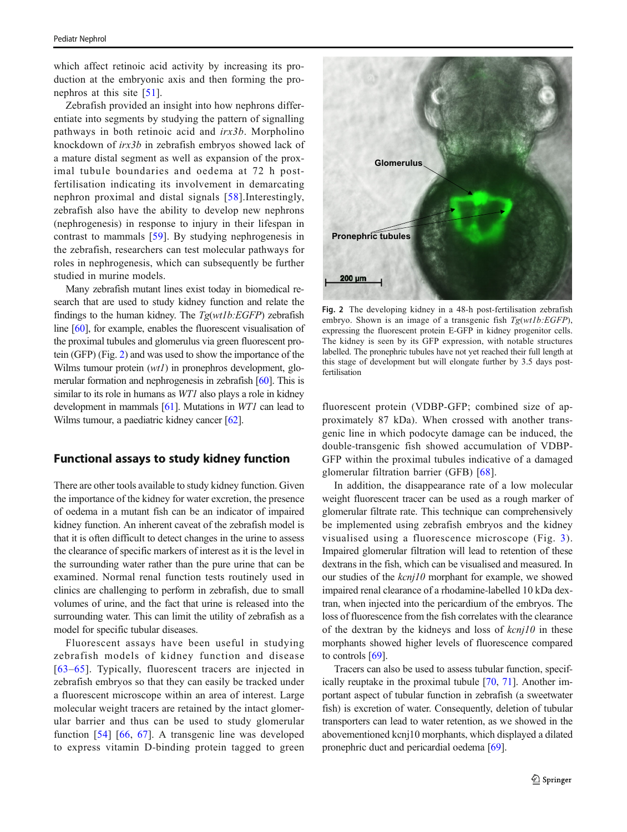which affect retinoic acid activity by increasing its production at the embryonic axis and then forming the pronephros at this site [\[51](#page-9-0)].

Zebrafish provided an insight into how nephrons differentiate into segments by studying the pattern of signalling pathways in both retinoic acid and irx3b. Morpholino knockdown of irx3b in zebrafish embryos showed lack of a mature distal segment as well as expansion of the proximal tubule boundaries and oedema at 72 h postfertilisation indicating its involvement in demarcating nephron proximal and distal signals [\[58](#page-10-0)].Interestingly, zebrafish also have the ability to develop new nephrons (nephrogenesis) in response to injury in their lifespan in contrast to mammals [[59](#page-10-0)]. By studying nephrogenesis in the zebrafish, researchers can test molecular pathways for roles in nephrogenesis, which can subsequently be further studied in murine models.

Many zebrafish mutant lines exist today in biomedical research that are used to study kidney function and relate the findings to the human kidney. The  $Tg(wtlb:EGFP)$  zebrafish line [\[60\]](#page-10-0), for example, enables the fluorescent visualisation of the proximal tubules and glomerulus via green fluorescent protein (GFP) (Fig. 2) and was used to show the importance of the Wilms tumour protein  $(wt)$  in pronephros development, glomerular formation and nephrogenesis in zebrafish [\[60](#page-10-0)]. This is similar to its role in humans as *WT1* also plays a role in kidney development in mammals [\[61\]](#page-10-0). Mutations in WT1 can lead to Wilms tumour, a paediatric kidney cancer [[62](#page-10-0)].

## Functional assays to study kidney function

There are other tools available to study kidney function. Given the importance of the kidney for water excretion, the presence of oedema in a mutant fish can be an indicator of impaired kidney function. An inherent caveat of the zebrafish model is that it is often difficult to detect changes in the urine to assess the clearance of specific markers of interest as it is the level in the surrounding water rather than the pure urine that can be examined. Normal renal function tests routinely used in clinics are challenging to perform in zebrafish, due to small volumes of urine, and the fact that urine is released into the surrounding water. This can limit the utility of zebrafish as a model for specific tubular diseases.

Fluorescent assays have been useful in studying zebrafish models of kidney function and disease [[63](#page-10-0)–[65](#page-10-0)]. Typically, fluorescent tracers are injected in zebrafish embryos so that they can easily be tracked under a fluorescent microscope within an area of interest. Large molecular weight tracers are retained by the intact glomerular barrier and thus can be used to study glomerular function [\[54\]](#page-9-0) [\[66,](#page-10-0) [67\]](#page-10-0). A transgenic line was developed to express vitamin D-binding protein tagged to green



Fig. 2 The developing kidney in a 48-h post-fertilisation zebrafish embryo. Shown is an image of a transgenic fish  $Tg(wtlb:EGFP)$ , expressing the fluorescent protein E-GFP in kidney progenitor cells. The kidney is seen by its GFP expression, with notable structures labelled. The pronephric tubules have not yet reached their full length at this stage of development but will elongate further by 3.5 days postfertilisation

fluorescent protein (VDBP-GFP; combined size of approximately 87 kDa). When crossed with another transgenic line in which podocyte damage can be induced, the double-transgenic fish showed accumulation of VDBP-GFP within the proximal tubules indicative of a damaged glomerular filtration barrier (GFB) [\[68](#page-10-0)].

In addition, the disappearance rate of a low molecular weight fluorescent tracer can be used as a rough marker of glomerular filtrate rate. This technique can comprehensively be implemented using zebrafish embryos and the kidney visualised using a fluorescence microscope (Fig. [3](#page-5-0)). Impaired glomerular filtration will lead to retention of these dextrans in the fish, which can be visualised and measured. In our studies of the kcnj10 morphant for example, we showed impaired renal clearance of a rhodamine-labelled 10 kDa dextran, when injected into the pericardium of the embryos. The loss of fluorescence from the fish correlates with the clearance of the dextran by the kidneys and loss of  $kcnj10$  in these morphants showed higher levels of fluorescence compared to controls [\[69\]](#page-10-0).

Tracers can also be used to assess tubular function, specifically reuptake in the proximal tubule [[70,](#page-10-0) [71\]](#page-10-0). Another important aspect of tubular function in zebrafish (a sweetwater fish) is excretion of water. Consequently, deletion of tubular transporters can lead to water retention, as we showed in the abovementioned kcnj10 morphants, which displayed a dilated pronephric duct and pericardial oedema [\[69](#page-10-0)].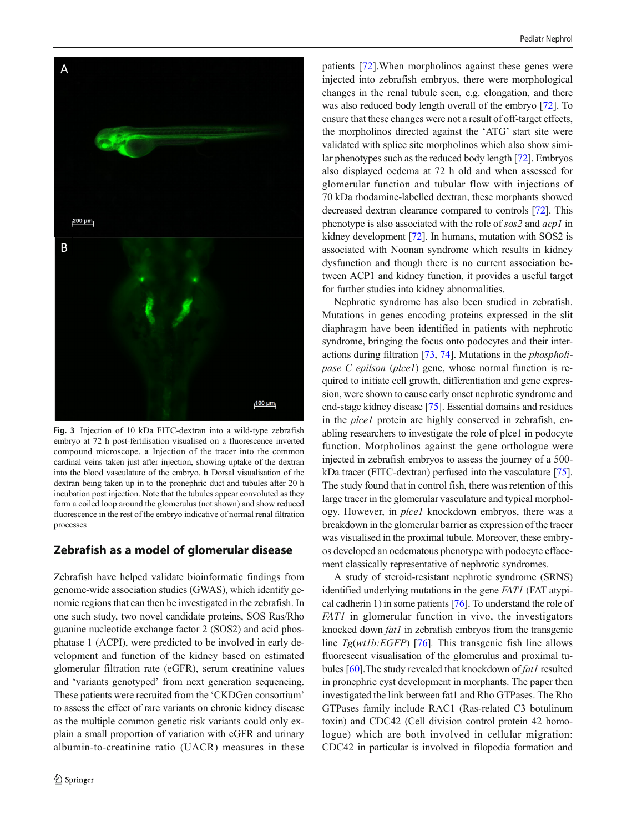<span id="page-5-0"></span>

Fig. 3 Injection of 10 kDa FITC-dextran into a wild-type zebrafish embryo at 72 h post-fertilisation visualised on a fluorescence inverted compound microscope. a Injection of the tracer into the common cardinal veins taken just after injection, showing uptake of the dextran into the blood vasculature of the embryo. b Dorsal visualisation of the dextran being taken up in to the pronephric duct and tubules after 20 h incubation post injection. Note that the tubules appear convoluted as they form a coiled loop around the glomerulus (not shown) and show reduced fluorescence in the rest of the embryo indicative of normal renal filtration processes

## Zebrafish as a model of glomerular disease

Zebrafish have helped validate bioinformatic findings from genome-wide association studies (GWAS), which identify genomic regions that can then be investigated in the zebrafish. In one such study, two novel candidate proteins, SOS Ras/Rho guanine nucleotide exchange factor 2 (SOS2) and acid phosphatase 1 (ACPI), were predicted to be involved in early development and function of the kidney based on estimated glomerular filtration rate (eGFR), serum creatinine values and 'variants genotyped' from next generation sequencing. These patients were recruited from the 'CKDGen consortium' to assess the effect of rare variants on chronic kidney disease as the multiple common genetic risk variants could only explain a small proportion of variation with eGFR and urinary albumin-to-creatinine ratio (UACR) measures in these patients [\[72](#page-10-0)].When morpholinos against these genes were injected into zebrafish embryos, there were morphological changes in the renal tubule seen, e.g. elongation, and there was also reduced body length overall of the embryo [[72\]](#page-10-0). To ensure that these changes were not a result of off-target effects, the morpholinos directed against the 'ATG' start site were validated with splice site morpholinos which also show similar phenotypes such as the reduced body length [[72\]](#page-10-0). Embryos also displayed oedema at 72 h old and when assessed for glomerular function and tubular flow with injections of 70 kDa rhodamine-labelled dextran, these morphants showed decreased dextran clearance compared to controls [\[72](#page-10-0)]. This phenotype is also associated with the role of sos2 and acp1 in kidney development [\[72\]](#page-10-0). In humans, mutation with SOS2 is associated with Noonan syndrome which results in kidney dysfunction and though there is no current association between ACP1 and kidney function, it provides a useful target for further studies into kidney abnormalities.

Nephrotic syndrome has also been studied in zebrafish. Mutations in genes encoding proteins expressed in the slit diaphragm have been identified in patients with nephrotic syndrome, bringing the focus onto podocytes and their interactions during filtration [\[73](#page-10-0), [74\]](#page-10-0). Mutations in the phospholipase C epilson (plce1) gene, whose normal function is required to initiate cell growth, differentiation and gene expression, were shown to cause early onset nephrotic syndrome and end-stage kidney disease [\[75\]](#page-10-0). Essential domains and residues in the *plce1* protein are highly conserved in zebrafish, enabling researchers to investigate the role of plce1 in podocyte function. Morpholinos against the gene orthologue were injected in zebrafish embryos to assess the journey of a 500 kDa tracer (FITC-dextran) perfused into the vasculature [[75\]](#page-10-0). The study found that in control fish, there was retention of this large tracer in the glomerular vasculature and typical morphology. However, in plce1 knockdown embryos, there was a breakdown in the glomerular barrier as expression of the tracer was visualised in the proximal tubule. Moreover, these embryos developed an oedematous phenotype with podocyte effacement classically representative of nephrotic syndromes.

A study of steroid-resistant nephrotic syndrome (SRNS) identified underlying mutations in the gene FAT1 (FAT atypical cadherin 1) in some patients [\[76](#page-10-0)]. To understand the role of FAT1 in glomerular function in vivo, the investigators knocked down *fat1* in zebrafish embryos from the transgenic line  $Tg(wtlb:EGFP)$  [\[76](#page-10-0)]. This transgenic fish line allows fluorescent visualisation of the glomerulus and proximal tu-bules [[60\]](#page-10-0). The study revealed that knockdown of fat1 resulted in pronephric cyst development in morphants. The paper then investigated the link between fat1 and Rho GTPases. The Rho GTPases family include RAC1 (Ras-related C3 botulinum toxin) and CDC42 (Cell division control protein 42 homologue) which are both involved in cellular migration: CDC42 in particular is involved in filopodia formation and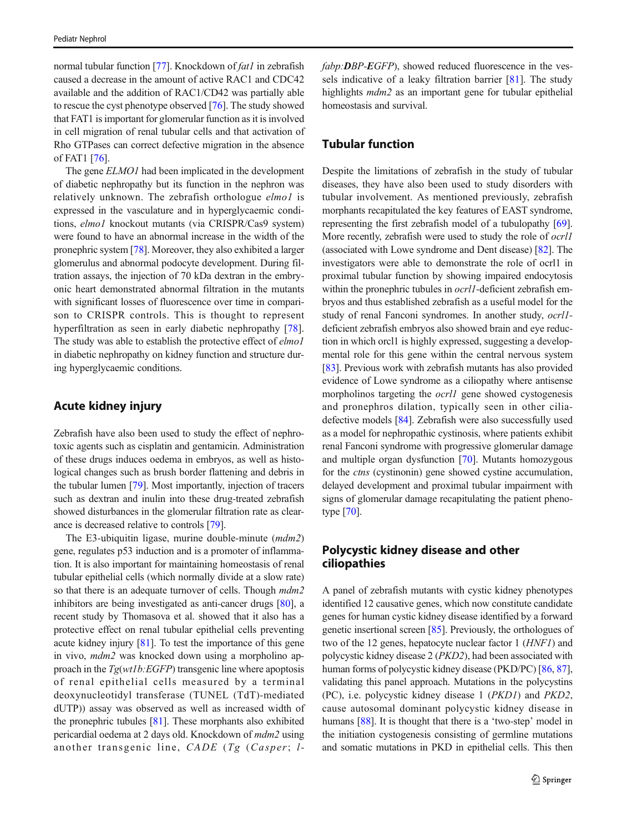normal tubular function [\[77](#page-10-0)]. Knockdown of  $fat1$  in zebrafish caused a decrease in the amount of active RAC1 and CDC42 available and the addition of RAC1/CD42 was partially able to rescue the cyst phenotype observed [[76](#page-10-0)]. The study showed that FAT1 is important for glomerular function as it is involved in cell migration of renal tubular cells and that activation of Rho GTPases can correct defective migration in the absence of FAT1 [\[76\]](#page-10-0).

The gene **ELMO1** had been implicated in the development of diabetic nephropathy but its function in the nephron was relatively unknown. The zebrafish orthologue *elmol* is expressed in the vasculature and in hyperglycaemic conditions, elmo1 knockout mutants (via CRISPR/Cas9 system) were found to have an abnormal increase in the width of the pronephric system [[78\]](#page-10-0). Moreover, they also exhibited a larger glomerulus and abnormal podocyte development. During filtration assays, the injection of 70 kDa dextran in the embryonic heart demonstrated abnormal filtration in the mutants with significant losses of fluorescence over time in comparison to CRISPR controls. This is thought to represent hyperfiltration as seen in early diabetic nephropathy [\[78](#page-10-0)]. The study was able to establish the protective effect of *elmol* in diabetic nephropathy on kidney function and structure during hyperglycaemic conditions.

## Acute kidney injury

Zebrafish have also been used to study the effect of nephrotoxic agents such as cisplatin and gentamicin. Administration of these drugs induces oedema in embryos, as well as histological changes such as brush border flattening and debris in the tubular lumen [[79\]](#page-10-0). Most importantly, injection of tracers such as dextran and inulin into these drug-treated zebrafish showed disturbances in the glomerular filtration rate as clearance is decreased relative to controls [\[79](#page-10-0)].

The E3-ubiquitin ligase, murine double-minute (mdm2) gene, regulates p53 induction and is a promoter of inflammation. It is also important for maintaining homeostasis of renal tubular epithelial cells (which normally divide at a slow rate) so that there is an adequate turnover of cells. Though  $mdm2$ inhibitors are being investigated as anti-cancer drugs [\[80\]](#page-10-0), a recent study by Thomasova et al. showed that it also has a protective effect on renal tubular epithelial cells preventing acute kidney injury  $[81]$ . To test the importance of this gene in vivo, mdm2 was knocked down using a morpholino approach in the Tg(wt1b:EGFP) transgenic line where apoptosis of renal epithelial cells measured by a terminal deoxynucleotidyl transferase (TUNEL (TdT)-mediated dUTP)) assay was observed as well as increased width of the pronephric tubules [\[81](#page-11-0)]. These morphants also exhibited pericardial oedema at 2 days old. Knockdown of mdm2 using another transgenic line,  $CADE$  ( $Tg$  (Casper; lfabp: DBP-EGFP), showed reduced fluorescence in the vessels indicative of a leaky filtration barrier [\[81](#page-11-0)]. The study highlights *mdm2* as an important gene for tubular epithelial homeostasis and survival.

# Tubular function

Despite the limitations of zebrafish in the study of tubular diseases, they have also been used to study disorders with tubular involvement. As mentioned previously, zebrafish morphants recapitulated the key features of EAST syndrome, representing the first zebrafish model of a tubulopathy [[69\]](#page-10-0). More recently, zebrafish were used to study the role of ocrl1 (associated with Lowe syndrome and Dent disease) [\[82\]](#page-11-0). The investigators were able to demonstrate the role of ocrl1 in proximal tubular function by showing impaired endocytosis within the pronephric tubules in *ocrl1*-deficient zebrafish embryos and thus established zebrafish as a useful model for the study of renal Fanconi syndromes. In another study, ocrl1 deficient zebrafish embryos also showed brain and eye reduction in which orcl1 is highly expressed, suggesting a developmental role for this gene within the central nervous system [\[83](#page-11-0)]. Previous work with zebrafish mutants has also provided evidence of Lowe syndrome as a ciliopathy where antisense morpholinos targeting the *ocrl1* gene showed cystogenesis and pronephros dilation, typically seen in other ciliadefective models [\[84](#page-11-0)]. Zebrafish were also successfully used as a model for nephropathic cystinosis, where patients exhibit renal Fanconi syndrome with progressive glomerular damage and multiple organ dysfunction [\[70\]](#page-10-0). Mutants homozygous for the *ctns* (cystinonin) gene showed cystine accumulation, delayed development and proximal tubular impairment with signs of glomerular damage recapitulating the patient phenotype [[70](#page-10-0)].

# Polycystic kidney disease and other ciliopathies

A panel of zebrafish mutants with cystic kidney phenotypes identified 12 causative genes, which now constitute candidate genes for human cystic kidney disease identified by a forward genetic insertional screen [[85\]](#page-11-0). Previously, the orthologues of two of the 12 genes, hepatocyte nuclear factor 1 (HNF1) and polycystic kidney disease 2 (PKD2), had been associated with human forms of polycystic kidney disease (PKD/PC) [[86](#page-11-0), [87\]](#page-11-0), validating this panel approach. Mutations in the polycystins (PC), i.e. polycystic kidney disease 1 (PKD1) and PKD2, cause autosomal dominant polycystic kidney disease in humans [\[88](#page-11-0)]. It is thought that there is a 'two-step' model in the initiation cystogenesis consisting of germline mutations and somatic mutations in PKD in epithelial cells. This then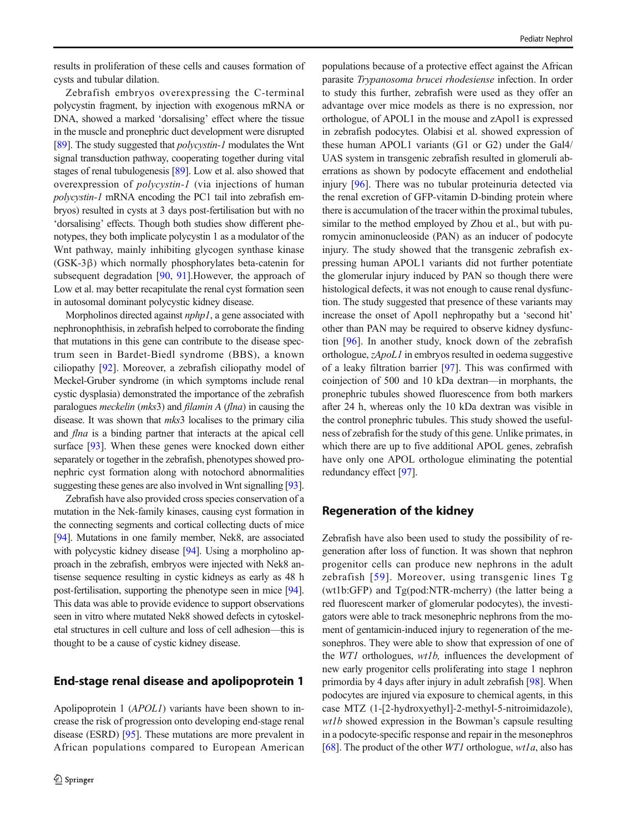Zebrafish embryos overexpressing the C-terminal polycystin fragment, by injection with exogenous mRNA or DNA, showed a marked 'dorsalising' effect where the tissue in the muscle and pronephric duct development were disrupted [\[89\]](#page-11-0). The study suggested that *polycystin-1* modulates the Wnt signal transduction pathway, cooperating together during vital stages of renal tubulogenesis [\[89\]](#page-11-0). Low et al. also showed that overexpression of polycystin-1 (via injections of human polycystin-1 mRNA encoding the PC1 tail into zebrafish embryos) resulted in cysts at 3 days post-fertilisation but with no 'dorsalising' effects. Though both studies show different phenotypes, they both implicate polycystin 1 as a modulator of the Wnt pathway, mainly inhibiting glycogen synthase kinase (GSK-3β) which normally phosphorylates beta-catenin for subsequent degradation [[90,](#page-11-0) [91\]](#page-11-0).However, the approach of Low et al. may better recapitulate the renal cyst formation seen in autosomal dominant polycystic kidney disease.

Morpholinos directed against *nphp1*, a gene associated with nephronophthisis, in zebrafish helped to corroborate the finding that mutations in this gene can contribute to the disease spectrum seen in Bardet-Biedl syndrome (BBS), a known ciliopathy [\[92](#page-11-0)]. Moreover, a zebrafish ciliopathy model of Meckel-Gruber syndrome (in which symptoms include renal cystic dysplasia) demonstrated the importance of the zebrafish paralogues meckelin (mks3) and filamin A (flna) in causing the disease. It was shown that *mks*3 localises to the primary cilia and flna is a binding partner that interacts at the apical cell surface [[93\]](#page-11-0). When these genes were knocked down either separately or together in the zebrafish, phenotypes showed pronephric cyst formation along with notochord abnormalities suggesting these genes are also involved in Wnt signalling [\[93\]](#page-11-0).

Zebrafish have also provided cross species conservation of a mutation in the Nek-family kinases, causing cyst formation in the connecting segments and cortical collecting ducts of mice [\[94\]](#page-11-0). Mutations in one family member, Nek8, are associated with polycystic kidney disease [[94](#page-11-0)]. Using a morpholino approach in the zebrafish, embryos were injected with Nek8 antisense sequence resulting in cystic kidneys as early as 48 h post-fertilisation, supporting the phenotype seen in mice [\[94\]](#page-11-0). This data was able to provide evidence to support observations seen in vitro where mutated Nek8 showed defects in cytoskeletal structures in cell culture and loss of cell adhesion—this is thought to be a cause of cystic kidney disease.

## End-stage renal disease and apolipoprotein 1

Apolipoprotein 1 (APOL1) variants have been shown to increase the risk of progression onto developing end-stage renal disease (ESRD) [\[95](#page-11-0)]. These mutations are more prevalent in African populations compared to European American populations because of a protective effect against the African parasite Trypanosoma brucei rhodesiense infection. In order to study this further, zebrafish were used as they offer an advantage over mice models as there is no expression, nor orthologue, of APOL1 in the mouse and zApol1 is expressed in zebrafish podocytes. Olabisi et al. showed expression of these human APOL1 variants (G1 or G2) under the Gal4/ UAS system in transgenic zebrafish resulted in glomeruli aberrations as shown by podocyte effacement and endothelial injury [[96\]](#page-11-0). There was no tubular proteinuria detected via the renal excretion of GFP-vitamin D-binding protein where there is accumulation of the tracer within the proximal tubules, similar to the method employed by Zhou et al., but with puromycin aminonucleoside (PAN) as an inducer of podocyte injury. The study showed that the transgenic zebrafish expressing human APOL1 variants did not further potentiate the glomerular injury induced by PAN so though there were histological defects, it was not enough to cause renal dysfunction. The study suggested that presence of these variants may increase the onset of Apol1 nephropathy but a 'second hit' other than PAN may be required to observe kidney dysfunction [\[96](#page-11-0)]. In another study, knock down of the zebrafish orthologue, zApoL1 in embryos resulted in oedema suggestive of a leaky filtration barrier [\[97](#page-11-0)]. This was confirmed with coinjection of 500 and 10 kDa dextran—in morphants, the pronephric tubules showed fluorescence from both markers after 24 h, whereas only the 10 kDa dextran was visible in the control pronephric tubules. This study showed the usefulness of zebrafish for the study of this gene. Unlike primates, in which there are up to five additional APOL genes, zebrafish have only one APOL orthologue eliminating the potential redundancy effect [\[97](#page-11-0)].

## Regeneration of the kidney

Zebrafish have also been used to study the possibility of regeneration after loss of function. It was shown that nephron progenitor cells can produce new nephrons in the adult zebrafish [[59](#page-10-0)]. Moreover, using transgenic lines Tg (wt1b:GFP) and Tg(pod:NTR-mcherry) (the latter being a red fluorescent marker of glomerular podocytes), the investigators were able to track mesonephric nephrons from the moment of gentamicin-induced injury to regeneration of the mesonephros. They were able to show that expression of one of the WT1 orthologues, wt1b, influences the development of new early progenitor cells proliferating into stage 1 nephron primordia by 4 days after injury in adult zebrafish [\[98\]](#page-11-0). When podocytes are injured via exposure to chemical agents, in this case MTZ (1-[2-hydroxyethyl]-2-methyl-5-nitroimidazole), wt1b showed expression in the Bowman's capsule resulting in a podocyte-specific response and repair in the mesonephros [\[68](#page-10-0)]. The product of the other *WT1* orthologue,  $wta$ , also has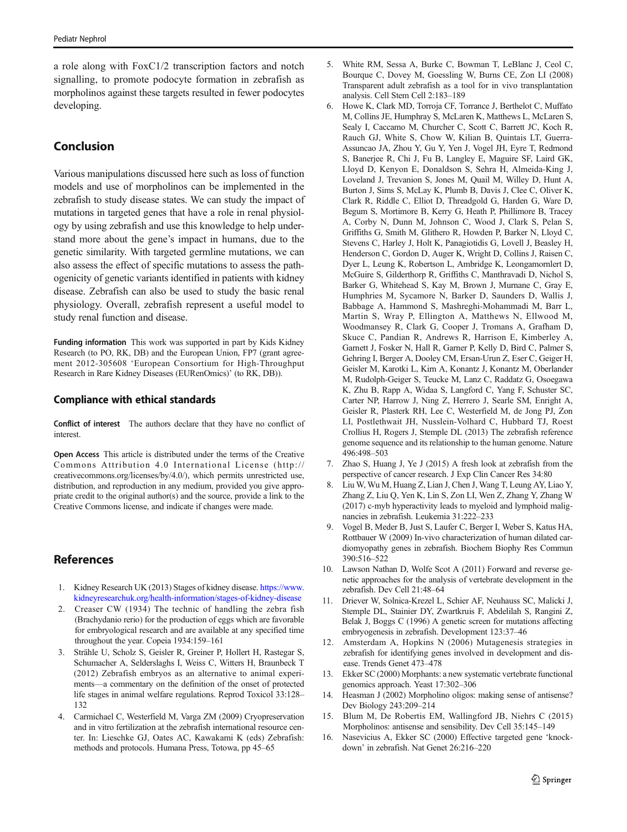<span id="page-8-0"></span>a role along with FoxC1/2 transcription factors and notch signalling, to promote podocyte formation in zebrafish as morpholinos against these targets resulted in fewer podocytes developing.

# Conclusion

Various manipulations discussed here such as loss of function models and use of morpholinos can be implemented in the zebrafish to study disease states. We can study the impact of mutations in targeted genes that have a role in renal physiology by using zebrafish and use this knowledge to help understand more about the gene's impact in humans, due to the genetic similarity. With targeted germline mutations, we can also assess the effect of specific mutations to assess the pathogenicity of genetic variants identified in patients with kidney disease. Zebrafish can also be used to study the basic renal physiology. Overall, zebrafish represent a useful model to study renal function and disease.

Funding information This work was supported in part by Kids Kidney Research (to PO, RK, DB) and the European Union, FP7 (grant agreement 2012-305608 'European Consortium for High-Throughput Research in Rare Kidney Diseases (EURenOmics)' (to RK, DB)).

#### Compliance with ethical standards

Conflict of interest The authors declare that they have no conflict of interest.

Open Access This article is distributed under the terms of the Creative Commons Attribution 4.0 International License (http:// creativecommons.org/licenses/by/4.0/), which permits unrestricted use, distribution, and reproduction in any medium, provided you give appropriate credit to the original author(s) and the source, provide a link to the Creative Commons license, and indicate if changes were made.

# References

- 1. Kidney Research UK (2013) Stages of kidney disease. [https://www.](https://www.kidneyresearchuk.org/health-information/stages-of-kidney-disease) [kidneyresearchuk.org/health-information/stages-of-kidney-disease](https://www.kidneyresearchuk.org/health-information/stages-of-kidney-disease)
- 2. Creaser CW (1934) The technic of handling the zebra fish (Brachydanio rerio) for the production of eggs which are favorable for embryological research and are available at any specified time throughout the year. Copeia 1934:159–161
- 3. Strähle U, Scholz S, Geisler R, Greiner P, Hollert H, Rastegar S, Schumacher A, Selderslaghs I, Weiss C, Witters H, Braunbeck T (2012) Zebrafish embryos as an alternative to animal experiments—a commentary on the definition of the onset of protected life stages in animal welfare regulations. Reprod Toxicol 33:128– 132
- 4. Carmichael C, Westerfield M, Varga ZM (2009) Cryopreservation and in vitro fertilization at the zebrafish international resource center. In: Lieschke GJ, Oates AC, Kawakami K (eds) Zebrafish: methods and protocols. Humana Press, Totowa, pp 45–65
- 5. White RM, Sessa A, Burke C, Bowman T, LeBlanc J, Ceol C, Bourque C, Dovey M, Goessling W, Burns CE, Zon LI (2008) Transparent adult zebrafish as a tool for in vivo transplantation analysis. Cell Stem Cell 2:183–189
- 6. Howe K, Clark MD, Torroja CF, Torrance J, Berthelot C, Muffato M, Collins JE, Humphray S, McLaren K, Matthews L, McLaren S, Sealy I, Caccamo M, Churcher C, Scott C, Barrett JC, Koch R, Rauch GJ, White S, Chow W, Kilian B, Quintais LT, Guerra-Assuncao JA, Zhou Y, Gu Y, Yen J, Vogel JH, Eyre T, Redmond S, Banerjee R, Chi J, Fu B, Langley E, Maguire SF, Laird GK, Lloyd D, Kenyon E, Donaldson S, Sehra H, Almeida-King J, Loveland J, Trevanion S, Jones M, Quail M, Willey D, Hunt A, Burton J, Sims S, McLay K, Plumb B, Davis J, Clee C, Oliver K, Clark R, Riddle C, Elliot D, Threadgold G, Harden G, Ware D, Begum S, Mortimore B, Kerry G, Heath P, Phillimore B, Tracey A, Corby N, Dunn M, Johnson C, Wood J, Clark S, Pelan S, Griffiths G, Smith M, Glithero R, Howden P, Barker N, Lloyd C, Stevens C, Harley J, Holt K, Panagiotidis G, Lovell J, Beasley H, Henderson C, Gordon D, Auger K, Wright D, Collins J, Raisen C, Dyer L, Leung K, Robertson L, Ambridge K, Leongamornlert D, McGuire S, Gilderthorp R, Griffiths C, Manthravadi D, Nichol S, Barker G, Whitehead S, Kay M, Brown J, Murnane C, Gray E, Humphries M, Sycamore N, Barker D, Saunders D, Wallis J, Babbage A, Hammond S, Mashreghi-Mohammadi M, Barr L, Martin S, Wray P, Ellington A, Matthews N, Ellwood M, Woodmansey R, Clark G, Cooper J, Tromans A, Grafham D, Skuce C, Pandian R, Andrews R, Harrison E, Kimberley A, Garnett J, Fosker N, Hall R, Garner P, Kelly D, Bird C, Palmer S, Gehring I, Berger A, Dooley CM, Ersan-Urun Z, Eser C, Geiger H, Geisler M, Karotki L, Kirn A, Konantz J, Konantz M, Oberlander M, Rudolph-Geiger S, Teucke M, Lanz C, Raddatz G, Osoegawa K, Zhu B, Rapp A, Widaa S, Langford C, Yang F, Schuster SC, Carter NP, Harrow J, Ning Z, Herrero J, Searle SM, Enright A, Geisler R, Plasterk RH, Lee C, Westerfield M, de Jong PJ, Zon LI, Postlethwait JH, Nusslein-Volhard C, Hubbard TJ, Roest Crollius H, Rogers J, Stemple DL (2013) The zebrafish reference genome sequence and its relationship to the human genome. Nature 496:498–503
- 7. Zhao S, Huang J, Ye J (2015) A fresh look at zebrafish from the perspective of cancer research. J Exp Clin Cancer Res 34:80
- 8. Liu W, Wu M, Huang Z, Lian J, Chen J, Wang T, Leung AY, Liao Y, Zhang Z, Liu Q, Yen K, Lin S, Zon LI, Wen Z, Zhang Y, Zhang W (2017) c-myb hyperactivity leads to myeloid and lymphoid malignancies in zebrafish. Leukemia 31:222–233
- 9. Vogel B, Meder B, Just S, Laufer C, Berger I, Weber S, Katus HA, Rottbauer W (2009) In-vivo characterization of human dilated cardiomyopathy genes in zebrafish. Biochem Biophy Res Commun 390:516–522
- 10. Lawson Nathan D, Wolfe Scot A (2011) Forward and reverse genetic approaches for the analysis of vertebrate development in the zebrafish. Dev Cell 21:48–64
- 11. Driever W, Solnica-Krezel L, Schier AF, Neuhauss SC, Malicki J, Stemple DL, Stainier DY, Zwartkruis F, Abdelilah S, Rangini Z, Belak J, Boggs C (1996) A genetic screen for mutations affecting embryogenesis in zebrafish. Development 123:37–46
- 12. Amsterdam A, Hopkins N (2006) Mutagenesis strategies in zebrafish for identifying genes involved in development and disease. Trends Genet 473–478
- 13. Ekker SC (2000) Morphants: a new systematic vertebrate functional genomics approach. Yeast 17:302–306
- 14. Heasman J (2002) Morpholino oligos: making sense of antisense? Dev Biology 243:209–214
- 15. Blum M, De Robertis EM, Wallingford JB, Niehrs C (2015) Morpholinos: antisense and sensibility. Dev Cell 35:145–149
- 16. Nasevicius A, Ekker SC (2000) Effective targeted gene 'knockdown' in zebrafish. Nat Genet 26:216–220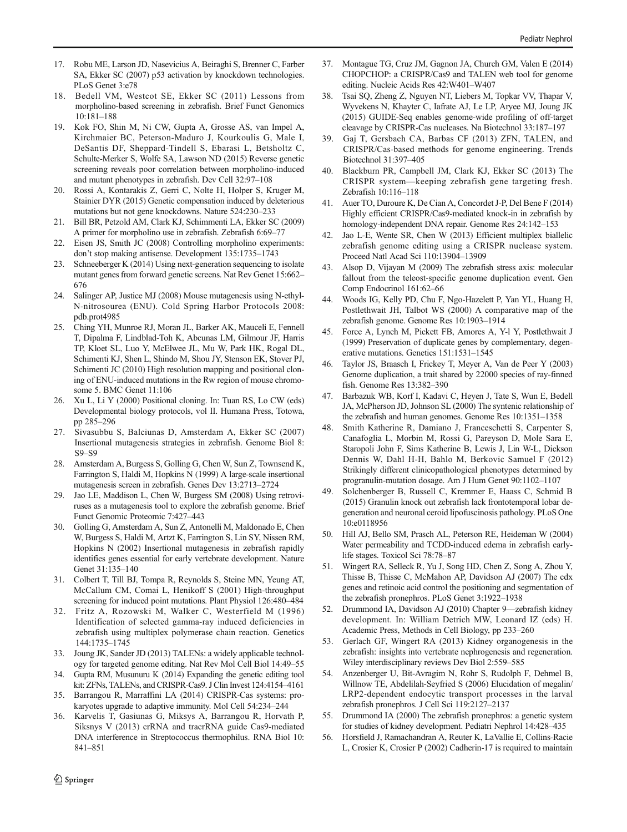- <span id="page-9-0"></span>17. Robu ME, Larson JD, Nasevicius A, Beiraghi S, Brenner C, Farber SA, Ekker SC (2007) p53 activation by knockdown technologies. PLoS Genet 3:e78
- 18. Bedell VM, Westcot SE, Ekker SC (2011) Lessons from morpholino-based screening in zebrafish. Brief Funct Genomics 10:181–188
- Kok FO, Shin M, Ni CW, Gupta A, Grosse AS, van Impel A, Kirchmaier BC, Peterson-Maduro J, Kourkoulis G, Male I, DeSantis DF, Sheppard-Tindell S, Ebarasi L, Betsholtz C, Schulte-Merker S, Wolfe SA, Lawson ND (2015) Reverse genetic screening reveals poor correlation between morpholino-induced and mutant phenotypes in zebrafish. Dev Cell 32:97–108
- 20. Rossi A, Kontarakis Z, Gerri C, Nolte H, Holper S, Kruger M, Stainier DYR (2015) Genetic compensation induced by deleterious mutations but not gene knockdowns. Nature 524:230–233
- 21. Bill BR, Petzold AM, Clark KJ, Schimmenti LA, Ekker SC (2009) A primer for morpholino use in zebrafish. Zebrafish 6:69–77
- 22. Eisen JS, Smith JC (2008) Controlling morpholino experiments: don't stop making antisense. Development 135:1735–1743
- 23. Schneeberger K (2014) Using next-generation sequencing to isolate mutant genes from forward genetic screens. Nat Rev Genet 15:662– 676
- 24. Salinger AP, Justice MJ (2008) Mouse mutagenesis using N-ethyl-N-nitrosourea (ENU). Cold Spring Harbor Protocols 2008: pdb.prot4985
- 25. Ching YH, Munroe RJ, Moran JL, Barker AK, Mauceli E, Fennell T, Dipalma F, Lindblad-Toh K, Abcunas LM, Gilmour JF, Harris TP, Kloet SL, Luo Y, McElwee JL, Mu W, Park HK, Rogal DL, Schimenti KJ, Shen L, Shindo M, Shou JY, Stenson EK, Stover PJ, Schimenti JC (2010) High resolution mapping and positional cloning of ENU-induced mutations in the Rw region of mouse chromosome 5. BMC Genet 11:106
- 26. Xu L, Li Y (2000) Positional cloning. In: Tuan RS, Lo CW (eds) Developmental biology protocols, vol II. Humana Press, Totowa, pp 285–296
- 27. Sivasubbu S, Balciunas D, Amsterdam A, Ekker SC (2007) Insertional mutagenesis strategies in zebrafish. Genome Biol 8: S9–S9
- 28. Amsterdam A, Burgess S, Golling G, Chen W, Sun Z, Townsend K, Farrington S, Haldi M, Hopkins N (1999) A large-scale insertional mutagenesis screen in zebrafish. Genes Dev 13:2713–2724
- 29. Jao LE, Maddison L, Chen W, Burgess SM (2008) Using retroviruses as a mutagenesis tool to explore the zebrafish genome. Brief Funct Genomic Proteomic 7:427–443
- 30. Golling G, Amsterdam A, Sun Z, Antonelli M, Maldonado E, Chen W, Burgess S, Haldi M, Artzt K, Farrington S, Lin SY, Nissen RM, Hopkins N (2002) Insertional mutagenesis in zebrafish rapidly identifies genes essential for early vertebrate development. Nature Genet 31:135–140
- 31. Colbert T, Till BJ, Tompa R, Reynolds S, Steine MN, Yeung AT, McCallum CM, Comai L, Henikoff S (2001) High-throughput screening for induced point mutations. Plant Physiol 126:480–484
- 32. Fritz A, Rozowski M, Walker C, Westerfield M (1996) Identification of selected gamma-ray induced deficiencies in zebrafish using multiplex polymerase chain reaction. Genetics 144:1735–1745
- 33. Joung JK, Sander JD (2013) TALENs: a widely applicable technology for targeted genome editing. Nat Rev Mol Cell Biol 14:49–55
- 34. Gupta RM, Musunuru K (2014) Expanding the genetic editing tool kit: ZFNs, TALENs, and CRISPR-Cas9. J Clin Invest 124:4154–4161
- 35. Barrangou R, Marraffini LA (2014) CRISPR-Cas systems: prokaryotes upgrade to adaptive immunity. Mol Cell 54:234–244
- 36. Karvelis T, Gasiunas G, Miksys A, Barrangou R, Horvath P, Siksnys V (2013) crRNA and tracrRNA guide Cas9-mediated DNA interference in Streptococcus thermophilus. RNA Biol 10: 841–851
- 37. Montague TG, Cruz JM, Gagnon JA, Church GM, Valen E (2014) CHOPCHOP: a CRISPR/Cas9 and TALEN web tool for genome editing. Nucleic Acids Res 42:W401–W407
- 38. Tsai SQ, Zheng Z, Nguyen NT, Liebers M, Topkar VV, Thapar V, Wyvekens N, Khayter C, Iafrate AJ, Le LP, Aryee MJ, Joung JK (2015) GUIDE-Seq enables genome-wide profiling of off-target cleavage by CRISPR-Cas nucleases. Na Biotechnol 33:187–197
- 39. Gaj T, Gersbach CA, Barbas CF (2013) ZFN, TALEN, and CRISPR/Cas-based methods for genome engineering. Trends Biotechnol 31:397–405
- 40. Blackburn PR, Campbell JM, Clark KJ, Ekker SC (2013) The CRISPR system—keeping zebrafish gene targeting fresh. Zebrafish 10:116–118
- 41. Auer TO, Duroure K, De Cian A, Concordet J-P, Del Bene F (2014) Highly efficient CRISPR/Cas9-mediated knock-in in zebrafish by homology-independent DNA repair. Genome Res 24:142–153
- 42. Jao L-E, Wente SR, Chen W (2013) Efficient multiplex biallelic zebrafish genome editing using a CRISPR nuclease system. Proceed Natl Acad Sci 110:13904–13909
- 43. Alsop D, Vijayan M (2009) The zebrafish stress axis: molecular fallout from the teleost-specific genome duplication event. Gen Comp Endocrinol 161:62–66
- 44. Woods IG, Kelly PD, Chu F, Ngo-Hazelett P, Yan YL, Huang H, Postlethwait JH, Talbot WS (2000) A comparative map of the zebrafish genome. Genome Res 10:1903–1914
- 45. Force A, Lynch M, Pickett FB, Amores A, Y-l Y, Postlethwait J (1999) Preservation of duplicate genes by complementary, degenerative mutations. Genetics 151:1531–1545
- 46. Taylor JS, Braasch I, Frickey T, Meyer A, Van de Peer Y (2003) Genome duplication, a trait shared by 22000 species of ray-finned fish. Genome Res 13:382–390
- 47. Barbazuk WB, Korf I, Kadavi C, Heyen J, Tate S, Wun E, Bedell JA, McPherson JD, Johnson SL (2000) The syntenic relationship of the zebrafish and human genomes. Genome Res 10:1351–1358
- 48. Smith Katherine R, Damiano J, Franceschetti S, Carpenter S, Canafoglia L, Morbin M, Rossi G, Pareyson D, Mole Sara E, Staropoli John F, Sims Katherine B, Lewis J, Lin W-L, Dickson Dennis W, Dahl H-H, Bahlo M, Berkovic Samuel F (2012) Strikingly different clinicopathological phenotypes determined by progranulin-mutation dosage. Am J Hum Genet 90:1102–1107
- 49. Solchenberger B, Russell C, Kremmer E, Haass C, Schmid B (2015) Granulin knock out zebrafish lack frontotemporal lobar degeneration and neuronal ceroid lipofuscinosis pathology. PLoS One 10:e0118956
- 50. Hill AJ, Bello SM, Prasch AL, Peterson RE, Heideman W (2004) Water permeability and TCDD-induced edema in zebrafish earlylife stages. Toxicol Sci 78:78–87
- 51. Wingert RA, Selleck R, Yu J, Song HD, Chen Z, Song A, Zhou Y, Thisse B, Thisse C, McMahon AP, Davidson AJ (2007) The cdx genes and retinoic acid control the positioning and segmentation of the zebrafish pronephros. PLoS Genet 3:1922–1938
- 52. Drummond IA, Davidson AJ (2010) Chapter 9—zebrafish kidney development. In: William Detrich MW, Leonard IZ (eds) H. Academic Press, Methods in Cell Biology, pp 233–260
- 53. Gerlach GF, Wingert RA (2013) Kidney organogenesis in the zebrafish: insights into vertebrate nephrogenesis and regeneration. Wiley interdisciplinary reviews Dev Biol 2:559–585
- 54. Anzenberger U, Bit-Avragim N, Rohr S, Rudolph F, Dehmel B, Willnow TE, Abdelilah-Seyfried S (2006) Elucidation of megalin/ LRP2-dependent endocytic transport processes in the larval zebrafish pronephros. J Cell Sci 119:2127–2137
- 55. Drummond IA (2000) The zebrafish pronephros: a genetic system for studies of kidney development. Pediatri Nephrol 14:428–435
- 56. Horsfield J, Ramachandran A, Reuter K, LaVallie E, Collins-Racie L, Crosier K, Crosier P (2002) Cadherin-17 is required to maintain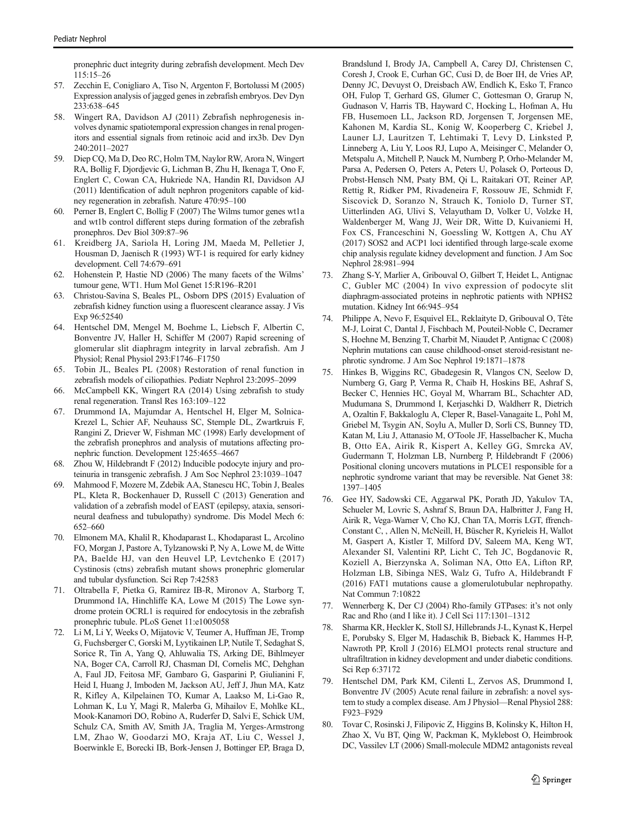<span id="page-10-0"></span>pronephric duct integrity during zebrafish development. Mech Dev 115:15–26

- 57. Zecchin E, Conigliaro A, Tiso N, Argenton F, Bortolussi M (2005) Expression analysis of jagged genes in zebrafish embryos. Dev Dyn 233:638–645
- 58. Wingert RA, Davidson AJ (2011) Zebrafish nephrogenesis involves dynamic spatiotemporal expression changes in renal progenitors and essential signals from retinoic acid and irx3b. Dev Dyn 240:2011–2027
- 59. Diep CQ, Ma D, Deo RC, Holm TM, Naylor RW, Arora N, Wingert RA, Bollig F, Djordjevic G, Lichman B, Zhu H, Ikenaga T, Ono F, Englert C, Cowan CA, Hukriede NA, Handin RI, Davidson AJ (2011) Identification of adult nephron progenitors capable of kidney regeneration in zebrafish. Nature 470:95–100
- 60. Perner B, Englert C, Bollig F (2007) The Wilms tumor genes wt1a and wt1b control different steps during formation of the zebrafish pronephros. Dev Biol 309:87–96
- 61. Kreidberg JA, Sariola H, Loring JM, Maeda M, Pelletier J, Housman D, Jaenisch R (1993) WT-1 is required for early kidney development. Cell 74:679–691
- 62. Hohenstein P, Hastie ND (2006) The many facets of the Wilms' tumour gene, WT1. Hum Mol Genet 15:R196–R201
- 63. Christou-Savina S, Beales PL, Osborn DPS (2015) Evaluation of zebrafish kidney function using a fluorescent clearance assay. J Vis Exp 96:52540
- 64. Hentschel DM, Mengel M, Boehme L, Liebsch F, Albertin C, Bonventre JV, Haller H, Schiffer M (2007) Rapid screening of glomerular slit diaphragm integrity in larval zebrafish. Am J Physiol; Renal Physiol 293:F1746–F1750
- 65. Tobin JL, Beales PL (2008) Restoration of renal function in zebrafish models of ciliopathies. Pediatr Nephrol 23:2095–2099
- 66. McCampbell KK, Wingert RA (2014) Using zebrafish to study renal regeneration. Transl Res 163:109–122
- 67. Drummond IA, Majumdar A, Hentschel H, Elger M, Solnica-Krezel L, Schier AF, Neuhauss SC, Stemple DL, Zwartkruis F, Rangini Z, Driever W, Fishman MC (1998) Early development of the zebrafish pronephros and analysis of mutations affecting pronephric function. Development 125:4655–4667
- 68. Zhou W, Hildebrandt F (2012) Inducible podocyte injury and proteinuria in transgenic zebrafish. J Am Soc Nephrol 23:1039–1047
- 69. Mahmood F, Mozere M, Zdebik AA, Stanescu HC, Tobin J, Beales PL, Kleta R, Bockenhauer D, Russell C (2013) Generation and validation of a zebrafish model of EAST (epilepsy, ataxia, sensorineural deafness and tubulopathy) syndrome. Dis Model Mech 6: 652–660
- 70. Elmonem MA, Khalil R, Khodaparast L, Khodaparast L, Arcolino FO, Morgan J, Pastore A, Tylzanowski P, Ny A, Lowe M, de Witte PA, Baelde HJ, van den Heuvel LP, Levtchenko E (2017) Cystinosis (ctns) zebrafish mutant shows pronephric glomerular and tubular dysfunction. Sci Rep 7:42583
- 71. Oltrabella F, Pietka G, Ramirez IB-R, Mironov A, Starborg T, Drummond IA, Hinchliffe KA, Lowe M (2015) The Lowe syndrome protein OCRL1 is required for endocytosis in the zebrafish pronephric tubule. PLoS Genet 11:e1005058
- 72. Li M, Li Y, Weeks O, Mijatovic V, Teumer A, Huffman JE, Tromp G, Fuchsberger C, Gorski M, Lyytikainen LP, Nutile T, Sedaghat S, Sorice R, Tin A, Yang Q, Ahluwalia TS, Arking DE, Bihlmeyer NA, Boger CA, Carroll RJ, Chasman DI, Cornelis MC, Dehghan A, Faul JD, Feitosa MF, Gambaro G, Gasparini P, Giulianini F, Heid I, Huang J, Imboden M, Jackson AU, Jeff J, Jhun MA, Katz R, Kifley A, Kilpelainen TO, Kumar A, Laakso M, Li-Gao R, Lohman K, Lu Y, Magi R, Malerba G, Mihailov E, Mohlke KL, Mook-Kanamori DO, Robino A, Ruderfer D, Salvi E, Schick UM, Schulz CA, Smith AV, Smith JA, Traglia M, Yerges-Armstrong LM, Zhao W, Goodarzi MO, Kraja AT, Liu C, Wessel J, Boerwinkle E, Borecki IB, Bork-Jensen J, Bottinger EP, Braga D,

Brandslund I, Brody JA, Campbell A, Carey DJ, Christensen C, Coresh J, Crook E, Curhan GC, Cusi D, de Boer IH, de Vries AP, Denny JC, Devuyst O, Dreisbach AW, Endlich K, Esko T, Franco OH, Fulop T, Gerhard GS, Glumer C, Gottesman O, Grarup N, Gudnason V, Harris TB, Hayward C, Hocking L, Hofman A, Hu FB, Husemoen LL, Jackson RD, Jorgensen T, Jorgensen ME, Kahonen M, Kardia SL, Konig W, Kooperberg C, Kriebel J, Launer LJ, Lauritzen T, Lehtimaki T, Levy D, Linksted P, Linneberg A, Liu Y, Loos RJ, Lupo A, Meisinger C, Melander O, Metspalu A, Mitchell P, Nauck M, Nurnberg P, Orho-Melander M, Parsa A, Pedersen O, Peters A, Peters U, Polasek O, Porteous D, Probst-Hensch NM, Psaty BM, Qi L, Raitakari OT, Reiner AP, Rettig R, Ridker PM, Rivadeneira F, Rossouw JE, Schmidt F, Siscovick D, Soranzo N, Strauch K, Toniolo D, Turner ST, Uitterlinden AG, Ulivi S, Velayutham D, Volker U, Volzke H, Waldenberger M, Wang JJ, Weir DR, Witte D, Kuivaniemi H, Fox CS, Franceschini N, Goessling W, Kottgen A, Chu AY (2017) SOS2 and ACP1 loci identified through large-scale exome chip analysis regulate kidney development and function. J Am Soc Nephrol 28:981–994

- 73. Zhang S-Y, Marlier A, Gribouval O, Gilbert T, Heidet L, Antignac C, Gubler MC (2004) In vivo expression of podocyte slit diaphragm-associated proteins in nephrotic patients with NPHS2 mutation. Kidney Int 66:945–954
- 74. Philippe A, Nevo F, Esquivel EL, Reklaityte D, Gribouval O, Tête M-J, Loirat C, Dantal J, Fischbach M, Pouteil-Noble C, Decramer S, Hoehne M, Benzing T, Charbit M, Niaudet P, Antignac C (2008) Nephrin mutations can cause childhood-onset steroid-resistant nephrotic syndrome. J Am Soc Nephrol 19:1871–1878
- 75. Hinkes B, Wiggins RC, Gbadegesin R, Vlangos CN, Seelow D, Nurnberg G, Garg P, Verma R, Chaib H, Hoskins BE, Ashraf S, Becker C, Hennies HC, Goyal M, Wharram BL, Schachter AD, Mudumana S, Drummond I, Kerjaschki D, Waldherr R, Dietrich A, Ozaltin F, Bakkaloglu A, Cleper R, Basel-Vanagaite L, Pohl M, Griebel M, Tsygin AN, Soylu A, Muller D, Sorli CS, Bunney TD, Katan M, Liu J, Attanasio M, O'Toole JF, Hasselbacher K, Mucha B, Otto EA, Airik R, Kispert A, Kelley GG, Smrcka AV, Gudermann T, Holzman LB, Nurnberg P, Hildebrandt F (2006) Positional cloning uncovers mutations in PLCE1 responsible for a nephrotic syndrome variant that may be reversible. Nat Genet 38: 1397–1405
- 76. Gee HY, Sadowski CE, Aggarwal PK, Porath JD, Yakulov TA, Schueler M, Lovric S, Ashraf S, Braun DA, Halbritter J, Fang H, Airik R, Vega-Warner V, Cho KJ, Chan TA, Morris LGT, ffrench-Constant C, , Allen N, McNeill, H, Büscher R, Kyrieleis H, Wallot M, Gaspert A, Kistler T, Milford DV, Saleem MA, Keng WT, Alexander SI, Valentini RP, Licht C, Teh JC, Bogdanovic R, Koziell A, Bierzynska A, Soliman NA, Otto EA, Lifton RP, Holzman LB, Sibinga NES, Walz G, Tufro A, Hildebrandt F (2016) FAT1 mutations cause a glomerulotubular nephropathy. Nat Commun 7:10822
- 77. Wennerberg K, Der CJ (2004) Rho-family GTPases: it's not only Rac and Rho (and I like it). J Cell Sci 117:1301–1312
- 78. Sharma KR, Heckler K, Stoll SJ, Hillebrands J-L, Kynast K, Herpel E, Porubsky S, Elger M, Hadaschik B, Bieback K, Hammes H-P, Nawroth PP, Kroll J (2016) ELMO1 protects renal structure and ultrafiltration in kidney development and under diabetic conditions. Sci Rep 6:37172
- Hentschel DM, Park KM, Cilenti L, Zervos AS, Drummond I, Bonventre JV (2005) Acute renal failure in zebrafish: a novel system to study a complex disease. Am J Physiol—Renal Physiol 288: F923–F929
- 80. Tovar C, Rosinski J, Filipovic Z, Higgins B, Kolinsky K, Hilton H, Zhao X, Vu BT, Qing W, Packman K, Myklebost O, Heimbrook DC, Vassilev LT (2006) Small-molecule MDM2 antagonists reveal